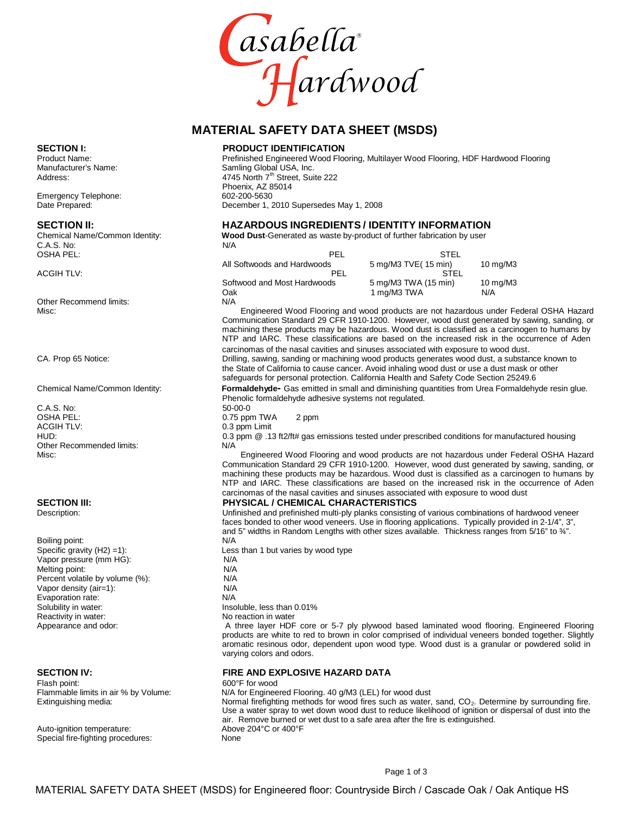

### **MATERIAL SAFETY DATA SHEET (MSDS)**

### **SECTION I: PRODUCT IDENTIFICATION**

Product Name: entity and the Prefinished Engineered Wood Flooring, Multilayer Wood Flooring, HDF Hardwood Flooring<br>Manufacturer's Name: entity and the Samling Global USA, Inc. Samling Global USA, Inc. Address:  $4745$  North  $7<sup>th</sup>$  Street, Suite 222 Phoenix, AZ 85014<br>602-200-5630 Date Prepared: December 1, 2010 Supersedes May 1, 2008

# **SECTION II: HAZARDOUS INGREDIENTS / IDENTITY INFORMATION**

Wood Dust-Generated as waste by-product of further fabrication by user

| U.A.S. INU.               | N/A                         |                      |             |  |
|---------------------------|-----------------------------|----------------------|-------------|--|
| OSHA PEL:                 | PEL                         | <b>STEL</b>          |             |  |
|                           | All Softwoods and Hardwoods | 5 mg/M3 TVE(15 min)  | 10 $mq/M3$  |  |
| ACGIH TLV:                | PEL                         | STEL                 |             |  |
|                           | Softwood and Most Hardwoods | 5 mg/M3 TWA (15 min) | 10 mg/M $3$ |  |
|                           | Oak                         | 1 mg/M3 TWA          | N/A         |  |
| Other Recommend limite: . | NΙ/Δ                        |                      |             |  |

Misc: Engineered Wood Flooring and wood products are not hazardous under Federal OSHA Hazard Communication Standard 29 CFR 1910-1200. However, wood dust generated by sawing, sanding, or machining these products may be hazardous. Wood dust is classified as a carcinogen to humans by NTP and IARC. These classifications are based on the increased risk in the occurrence of Aden carcinomas of the nasal cavities and sinuses associated with exposure to wood dust.

CA. Prop 65 Notice: Drilling, sawing, sanding or machining wood products generates wood dust, a substance known to the State of California to cause cancer. Avoid inhaling wood dust or use a dust mask orother safeguards for personal protection. California Health and Safety Code Section 25249.6

Chemical Name/Common Identity: **Formaldehyde-** Gas emitted in small and diminishing quantities from Urea Formaldehyde resin glue. Phenolic formaldehyde adhesive systems not regulated.

0.3 ppm @ .13 ft2/ft# gas emissions tested under prescribed conditions for manufactured housing N/A

Misc: Engineered Wood Flooring and wood products are not hazardous under Federal OSHA Hazard Communication Standard 29 CFR 1910-1200. However, wood dust generated by sawing, sanding, or machining these products may be hazardous. Wood dust is classified as a carcinogen to humans by NTP and IARC. These classifications are based on the increased risk in the occurrence of Aden carcinomas of the nasal cavities and sinuses associated with exposure to wood dust

# **SECTION III: PHYSICAL / CHEMICAL CHARACTERISTICS**

Unfinished and prefinished multi-ply planks consisting of various combinations of hardwood veneer faces bonded to other wood veneers. Use in flooring applications. Typically provided in 2-1/4", 3", and 5" widths in Random Lengths with other sizes available. Thickness ranges from 5/16" to  $\frac{3}{4}$ ".<br>N/A

Specific gravity (H2) =1): Less than 1 but varies by wood type

A three layer HDF core or 5-7 ply plywood based laminated wood flooring. Engineered Flooring products are white to red to brown in color comprised of individual veneers bonded together. Slightly aromatic resinous odor, dependent upon wood type. Wood dust is a granular or powdered solid in varying colors and odors.

# **SECTION IV: FIRE AND EXPLOSIVE HAZARD DATA**<br>Flash point: **FIRE AND EXPLOSIVE HAZARD DATA**

Flammable limits in air % by Volume: N/A for Engineered Flooring. 40 g/M3 (LEL) for wood dust<br>Extinguishing media: Normal firefighting methods for wood fires such as water, sand, CO<sub>2</sub>. Determine by surrounding fire. Use a water spray to wet down wood dust to reduce likelihood of ignition or dispersal of dust into the air. Remove burned or wet dust to a safe area after the fire is extinguished.

Emergency Telephone:

C.A.S. No:<br>OSHA PEL:

Other Recommend limits:

C.A.S. No: 50-00-0<br>
OSHA PEL: 60-00-0<br>
OSHA PEL: 60-00-0 OSHA PEL:<br>
OSHA PEL:<br>
O.3 ppm Limit<br>
O.3 ppm Limit ACGIH TLV:<br>
HUD: 0.3 ppm  $\qquad \qquad$  0.3 ppm  $\qquad \qquad$  1. Other Recommended limits:

Boiling point: Vapor pressure (mm HG): N/A<br>Melting point: N/A Melting point: N/A<br>Percent volatile by volume (%): N/A Percent volatile by volume (%):<br>Vapor density (air=1): N/A Vapor density (air=1): N/A<br>
Fyaporation rate: N/A Evaporation rate: Solubility in water:  $\frac{1}{2}$  Insoluble, less than 0.01% Reactivity in water: No reaction in water<br>Appearance and odor: No reaction in water<br>A three layer HDF

Flash point: 600°F for wood<br>Flammable limits in air % by Volume: 600°F for Enginee

Auto-ignition temperature: <br>
Special fire-fighting procedures: <br>
None Mone Special fire-fighting procedures: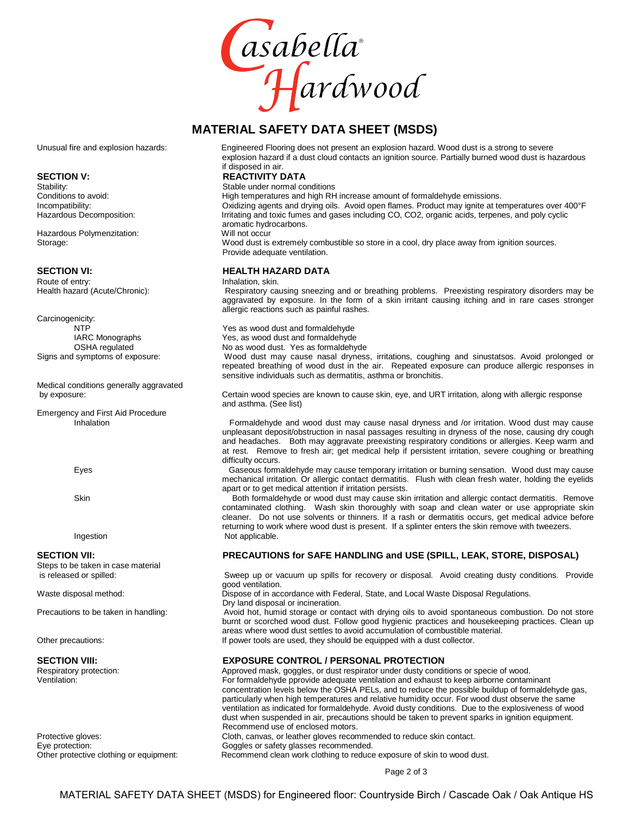

### **MATERIAL SAFETY DATA SHEET (MSDS)**

Stability:<br>
Stable under normal conditions<br>
Conditions to avoid:<br>
Stability:<br>
High temperatures and high RH

Hazardous Polymenzitation:

Route of entry: <br>
Health hazard (Acute/Chronic): 
<br>
Respiratory ca

Carcinogenicity:

Medical conditions generally aggravated

Emergency and First Aid Procedure

Steps to be taken in case material<br>is released or spilled:

Eye protection:<br>
Other protective clothing or equipment:<br>
Recommend clean work clothing to reduce

Unusual fire and explosion hazards: Engineered Flooring does not present an explosion hazard. Wood dust is a strong to severe explosion hazard if a dust cloud contacts an ignition source. Partially burned wood dust is hazardous if disposed in air.

# **SECTION V: REACTIVITY DATA**<br>
Stability: Stability: Stability: Stability:

High temperatures and high RH increase amount of formaldehyde emissions. Incompatibility: Composition: Coxidizing agents and drying oils. Avoid open flames. Product may ignite at temperatures over 400°F<br>Hazardous Decomposition: Fritating and toxic fumes and gases including CO, CO2, organic acid Irritating and toxic fumes and gases including CO, CO2, organic acids, terpenes, and poly cyclic aromatic hydrocarbons.

Storage: Wood dust is extremely combustible so store in a cool, dry place away from ignition sources. Provide adequate ventilation.

# **SECTION VI: HEALTH HAZARD DATA**<br> **Route of entry: Health Alternation State** Inhalation, skin.

Respiratory causing sneezing and or breathing problems. Preexisting respiratory disorders may be aggravated by exposure. In the form of a skin irritant causing itching and in rare cases stronger allergic reactions such as painful rashes.

NTP<br>
1ARC Monographs<br>
1ARC Monographs<br>
29 Yes, as wood dust and formaldehyde IARC Monographs The Mass of the Yes, as wood dust and formaldehyde<br>
OSHA regulated The Mo as wood dust. Yes as formaldehy No as wood dust. Yes as formaldehyde

Signs and symptoms of exposure: Wood dust may cause nasal dryness, irritations, coughing and sinustatsos. Avoid prolonged or repeated breathing of wood dust in the air. Repeated exposure can produce allergic responses in sensitive individuals such as dermatitis, asthma or bronchitis.

by exposure: Certain wood species are known to cause skin, eye, and URT irritation, along with allergic response and asthma. (See list)

> Formaldehyde and wood dust may cause nasal dryness and /or irritation. Wood dust may cause unpleasant deposit/obstruction in nasal passages resulting in dryness of the nose, causing dry cough and headaches. Both may aggravate preexisting respiratory conditions orallergies. Keep warm and at rest. Remove to fresh air; get medical help if persistent irritation, severe coughing or breathing difficulty occurs.

Eyes Gaseous formaldehyde may cause temporary irritation or burning sensation. Wood dust may cause mechanical irritation. Or allergic contact dermatitis. Flush with clean fresh water, holding the eyelids apart or to get medical attention if irritation persists.

Skin Both formaldehyde or wood dust may cause skin irritation and allergic contact dermatitis. Remove contaminated clothing. Wash skin thoroughly with soap and clean water or use appropriate skin cleaner. Do not use solvents or thinners. If a rash or dermatitis occurs, get medical advice before returning to work where wood dust is present. If a splinter enters the skin remove with tweezers. Ingestion Not applicable.

### **SECTION VII: PRECAUTIONS for SAFE HANDLING and USE (SPILL, LEAK, STORE, DISPOSAL)**

Sweep up or vacuum up spills for recovery or disposal. Avoid creating dusty conditions. Provide good ventilation.

Waste disposal method: Dispose of in accordance with Federal, State, and Local Waste Disposal Regulations.

Dry land disposal or incineration. Precautions to be taken in handling: Avoid hot, humid storage or contact with drying oils to avoid spontaneous combustion. Do not store burnt or scorched wood dust. Follow good hygienic practices and housekeeping practices. Clean up areas where wood dust settles to avoid accumulation of combustible material. Other precautions: If power tools are used, they should be equipped with a dust collector.

# **SECTION VIII: EXPOSURE CONTROL / PERSONAL PROTECTION**

Respiratory protection: <br> Approved mask, goggles, or dust respirator under dusty conditions or specie of wood.<br> For formaldehyde pprovide adequate ventilation and exhaust to keep airborne contam For formaldehyde pprovide adequate ventilation and exhaust to keep airborne contaminant concentration levels below the OSHA PELs, and to reduce the possible buildup of formaldehyde gas, particularly when high temperatures and relative humidity occur. For wood dust observe the same ventilation as indicated for formaldehyde. Avoid dusty conditions. Due to the explosiveness of wood dust when suspended in air, precautions should be taken to prevent sparks in ignition equipment. Recommend use of enclosed motors. Protective gloves:<br>
Eye protection: 
Soggles or safety glasses recommended.<br>
Goggles or safety glasses recommended. Recommend clean work clothing to reduce exposure of skin to wood dust.

Page 2 of 3